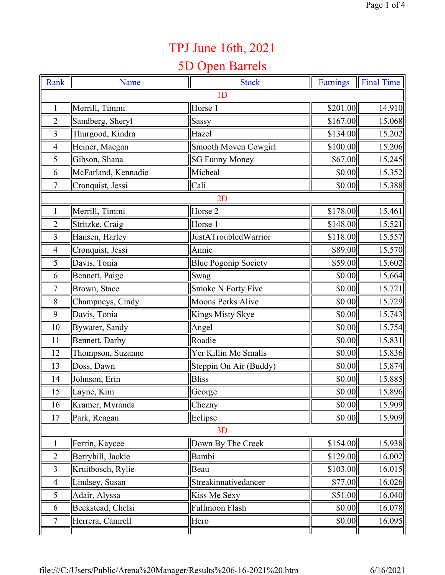## TPJ June 16th, 2021

## 5D Open Barrels

| Rank           | Name                | <b>Stock</b>                | Earnings | <b>Final Time</b> |
|----------------|---------------------|-----------------------------|----------|-------------------|
|                |                     | 1 <sub>D</sub>              |          |                   |
| $\mathbf{1}$   | Merrill, Timmi      | Horse 1                     | \$201.00 | 14.910            |
| $\overline{2}$ | Sandberg, Sheryl    | Sassy                       | \$167.00 | 15.068            |
| 3              | Thurgood, Kindra    | Hazel                       | \$134.00 | 15.202            |
| $\overline{4}$ | Heiner, Maegan      | Smooth Moven Cowgirl        | \$100.00 | 15.206            |
| 5              | Gibson, Shana       | <b>SG Funny Money</b>       | \$67.00  | 15.245            |
| 6              | McFarland, Kennadie | Micheal                     | \$0.00   | 15.352            |
| $\tau$         | Cronquist, Jessi    | Cali                        | \$0.00   | 15.388            |
|                |                     | 2D                          |          |                   |
| $\mathbf{1}$   | Merrill, Timmi      | Horse 2                     | \$178.00 | 15.461            |
| $\overline{2}$ | Stritzke, Craig     | Horse 1                     | \$148.00 | 15.521            |
| 3              | Hansen, Harley      | JustATroubledWarrior        | \$118.00 | 15.557            |
| 4              | Cronquist, Jessi    | Annie                       | \$89.00  | 15.570            |
| 5              | Davis, Tonia        | <b>Blue Pogonip Society</b> | \$59.00  | 15.602            |
| 6              | Bennett, Paige      | Swag                        | \$0.00   | 15.664            |
| 7              | Brown, Stace        | Smoke N Forty Five          | \$0.00   | 15.721            |
| 8              | Champneys, Cindy    | <b>Moons Perks Alive</b>    | \$0.00   | 15.729            |
| 9              | Davis, Tonia        | Kings Misty Skye            | \$0.00   | 15.743            |
| 10             | Bywater, Sandy      | Angel                       | \$0.00   | 15.754            |
| 11             | Bennett, Darby      | Roadie                      | \$0.00   | 15.831            |
| 12             | Thompson, Suzanne   | Yer Killin Me Smalls        | \$0.00   | 15.836            |
| 13             | Doss, Dawn          | Steppin On Air (Buddy)      | \$0.00   | 15.874            |
| 14             | Johnson, Erin       | <b>Bliss</b>                | \$0.00   | 15.885            |
| 15             | Layne, Kim          | George                      | \$0.00   | 15.896            |
| 16             | Kramer, Myranda     | Chezny                      | \$0.00   | 15.909            |
| 17             | Park, Reagan        | Eclipse                     | \$0.00   | 15.909            |
|                |                     | 3D                          |          |                   |
| $\mathbf{1}$   | Ferrin, Kaycee      | Down By The Creek           | \$154.00 | 15.938            |
| $\overline{2}$ | Berryhill, Jackie   | Bambi                       | \$129.00 | 16.002            |
| $\overline{3}$ | Kruitbosch, Rylie   | Beau                        | \$103.00 | 16.015            |
| $\overline{4}$ | Lindsey, Susan      | Streakinnativedancer        | \$77.00  | 16.026            |
| 5              | Adair, Alyssa       | Kiss Me Sexy                | \$51.00  | 16.040            |
| 6              | Beckstead, Chelsi   | Fullmoon Flash              | \$0.00   | 16.078            |
| $\tau$         | Herrera, Camrell    | Hero                        | \$0.00   | 16.095            |
|                |                     |                             |          |                   |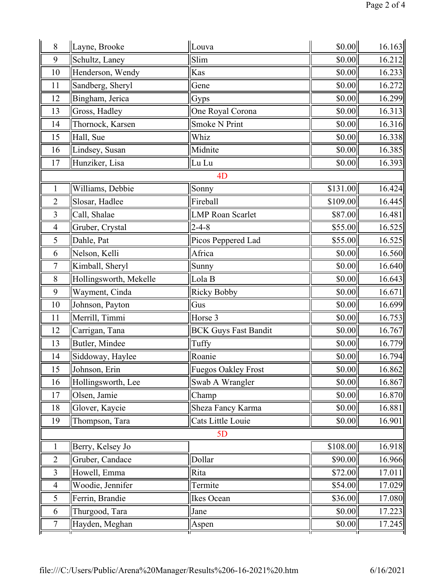| 8              | Layne, Brooke          | Louva                       | \$0.00   | 16.163 |
|----------------|------------------------|-----------------------------|----------|--------|
| 9              | Schultz, Laney         | Slim                        | \$0.00   | 16.212 |
| 10             | Henderson, Wendy       | Kas                         | \$0.00   | 16.233 |
| 11             | Sandberg, Sheryl       | Gene                        | \$0.00   | 16.272 |
| 12             | Bingham, Jerica        | Gyps                        | \$0.00   | 16.299 |
| 13             | Gross, Hadley          | One Royal Corona            | \$0.00   | 16.313 |
| 14             | Thornock, Karsen       | <b>Smoke N Print</b>        | \$0.00   | 16.316 |
| 15             | Hall, Sue              | Whiz                        | \$0.00   | 16.338 |
| 16             | Lindsey, Susan         | Midnite                     | \$0.00   | 16.385 |
| 17             | Hunziker, Lisa         | Lu Lu                       | \$0.00   | 16.393 |
|                |                        | 4 <sub>D</sub>              |          |        |
| $\mathbf{1}$   | Williams, Debbie       | Sonny                       | \$131.00 | 16.424 |
| $\overline{2}$ | Slosar, Hadlee         | Fireball                    | \$109.00 | 16.445 |
| 3              | Call, Shalae           | <b>LMP</b> Roan Scarlet     | \$87.00  | 16.481 |
| 4              | Gruber, Crystal        | $2 - 4 - 8$                 | \$55.00  | 16.525 |
| 5              | Dahle, Pat             | Picos Peppered Lad          | \$55.00  | 16.525 |
| 6              | Nelson, Kelli          | Africa                      | \$0.00   | 16.560 |
| $\overline{7}$ | Kimball, Sheryl        | Sunny                       | \$0.00   | 16.640 |
| 8              | Hollingsworth, Mekelle | Lola B                      | \$0.00   | 16.643 |
| 9              | Wayment, Cinda         | <b>Ricky Bobby</b>          | \$0.00   | 16.671 |
| 10             | Johnson, Payton        | Gus                         | \$0.00   | 16.699 |
| 11             | Merrill, Timmi         | Horse 3                     | \$0.00   | 16.753 |
| 12             | Carrigan, Tana         | <b>BCK Guys Fast Bandit</b> | \$0.00   | 16.767 |
| 13             | Butler, Mindee         | Tuffy                       | \$0.00   | 16.779 |
| 14             | Siddoway, Haylee       | Roanie                      | \$0.00   | 16.794 |
| 15             | Johnson, Erin          | Fuegos Oakley Frost         | \$0.00   | 16.862 |
| 16             | Hollingsworth, Lee     | Swab A Wrangler             | \$0.00   | 16.867 |
| 17             | Olsen, Jamie           | Champ                       | \$0.00   | 16.870 |
| 18             | Glover, Kaycie         | Sheza Fancy Karma           | \$0.00   | 16.881 |
| 19             | Thompson, Tara         | Cats Little Louie           | \$0.00   | 16.901 |
| 5D             |                        |                             |          |        |
| 1              | Berry, Kelsey Jo       |                             | \$108.00 | 16.918 |
| $\overline{2}$ | Gruber, Candace        | Dollar                      | \$90.00  | 16.966 |
| 3              | Howell, Emma           | Rita                        | \$72.00  | 17.011 |
| 4              | Woodie, Jennifer       | Termite                     | \$54.00  | 17.029 |
| 5              | Ferrin, Brandie        | Ikes Ocean                  | \$36.00  | 17.080 |
| 6              | Thurgood, Tara         | Jane                        | \$0.00   | 17.223 |
| 7              | Hayden, Meghan         | Aspen                       | \$0.00   | 17.245 |
|                |                        |                             |          |        |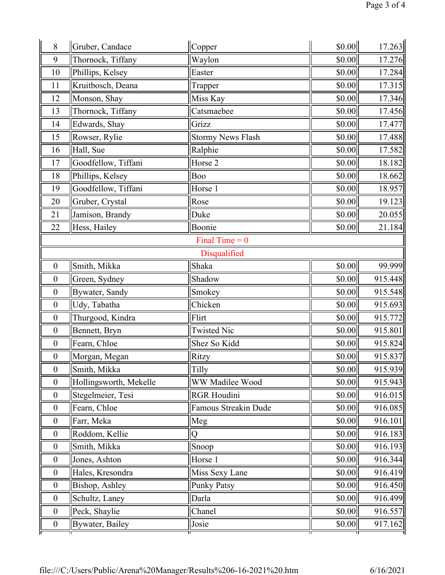| 8                | Gruber, Candace         | Copper                      | \$0.00 | 17.263  |
|------------------|-------------------------|-----------------------------|--------|---------|
| 9                | Thornock, Tiffany       | Waylon                      | \$0.00 | 17.276  |
| 10               | Phillips, Kelsey        | Easter                      | \$0.00 | 17.284  |
| 11               | Kruitbosch, Deana       | Trapper                     | \$0.00 | 17.315  |
| 12               | Monson, Shay            | Miss Kay                    | \$0.00 | 17.346  |
| 13               | Thornock, Tiffany       | Catsmaebee                  | \$0.00 | 17.456  |
| 14               | Edwards, Shay           | Grizz                       | \$0.00 | 17.477  |
| 15               | Rowser, Rylie           | <b>Stormy News Flash</b>    | \$0.00 | 17.488  |
| 16               | Hall, Sue               | Ralphie                     | \$0.00 | 17.582  |
| 17               | Goodfellow, Tiffani     | Horse 2                     | \$0.00 | 18.182  |
| 18               | Phillips, Kelsey        | Boo                         | \$0.00 | 18.662  |
| 19               | Goodfellow, Tiffani     | Horse 1                     | \$0.00 | 18.957  |
| 20               | Gruber, Crystal         | Rose                        | \$0.00 | 19.123  |
| 21               | Jamison, Brandy         | Duke                        | \$0.00 | 20.055  |
| 22               | Hess, Hailey            | Boonie                      | \$0.00 | 21.184  |
|                  |                         | Final Time = $0$            |        |         |
|                  |                         | Disqualified                |        |         |
| $\boldsymbol{0}$ | Smith, Mikka            | Shaka                       | \$0.00 | 99.999  |
| $\mathbf{0}$     | Green, Sydney           | Shadow                      | \$0.00 | 915.448 |
| $\boldsymbol{0}$ | Bywater, Sandy          | Smokey                      | \$0.00 | 915.548 |
| $\boldsymbol{0}$ | Udy, Tabatha            | Chicken                     | \$0.00 | 915.693 |
| $\boldsymbol{0}$ | Thurgood, Kindra        | Flirt                       | \$0.00 | 915.772 |
| $\boldsymbol{0}$ | Bennett, Bryn           | <b>Twisted Nic</b>          | \$0.00 | 915.801 |
| $\boldsymbol{0}$ | Fearn, Chloe            | Shez So Kidd                | \$0.00 | 915.824 |
| $\boldsymbol{0}$ | Morgan, Megan           | Ritzy                       | \$0.00 | 915.837 |
| $\boldsymbol{0}$ | Smith, Mikka            | Tilly                       | \$0.00 | 915.939 |
| $\boldsymbol{0}$ | Hollingsworth, Mekelle  | WW Madilee Wood             | \$0.00 | 915.943 |
| $\boldsymbol{0}$ | Stegelmeier, Tesi       | <b>RGR Houdini</b>          | \$0.00 | 916.015 |
| $\boldsymbol{0}$ | Fearn, Chloe            | <b>Famous Streakin Dude</b> | \$0.00 | 916.085 |
| $\boldsymbol{0}$ | Farr, Meka              | Meg                         | \$0.00 | 916.101 |
| $\boldsymbol{0}$ | Roddom, Kellie          | Q                           | \$0.00 | 916.183 |
| $\boldsymbol{0}$ | Smith, Mikka            | Snoop                       | \$0.00 | 916.193 |
| $\boldsymbol{0}$ | Jones, Ashton           | Horse 1                     | \$0.00 | 916.344 |
| $\boldsymbol{0}$ | Hales, Kresondra        | Miss Sexy Lane              | \$0.00 | 916.419 |
| $\boldsymbol{0}$ | Bishop, Ashley          | <b>Punky Patsy</b>          | \$0.00 | 916.450 |
| $\boldsymbol{0}$ | Schultz, Laney          | Darla                       | \$0.00 | 916.499 |
| $\boldsymbol{0}$ | Peck, Shaylie           | Chanel                      | \$0.00 | 916.557 |
| $\boldsymbol{0}$ | <b>Bywater</b> , Bailey | Josie                       | \$0.00 | 917.162 |
|                  |                         |                             |        |         |